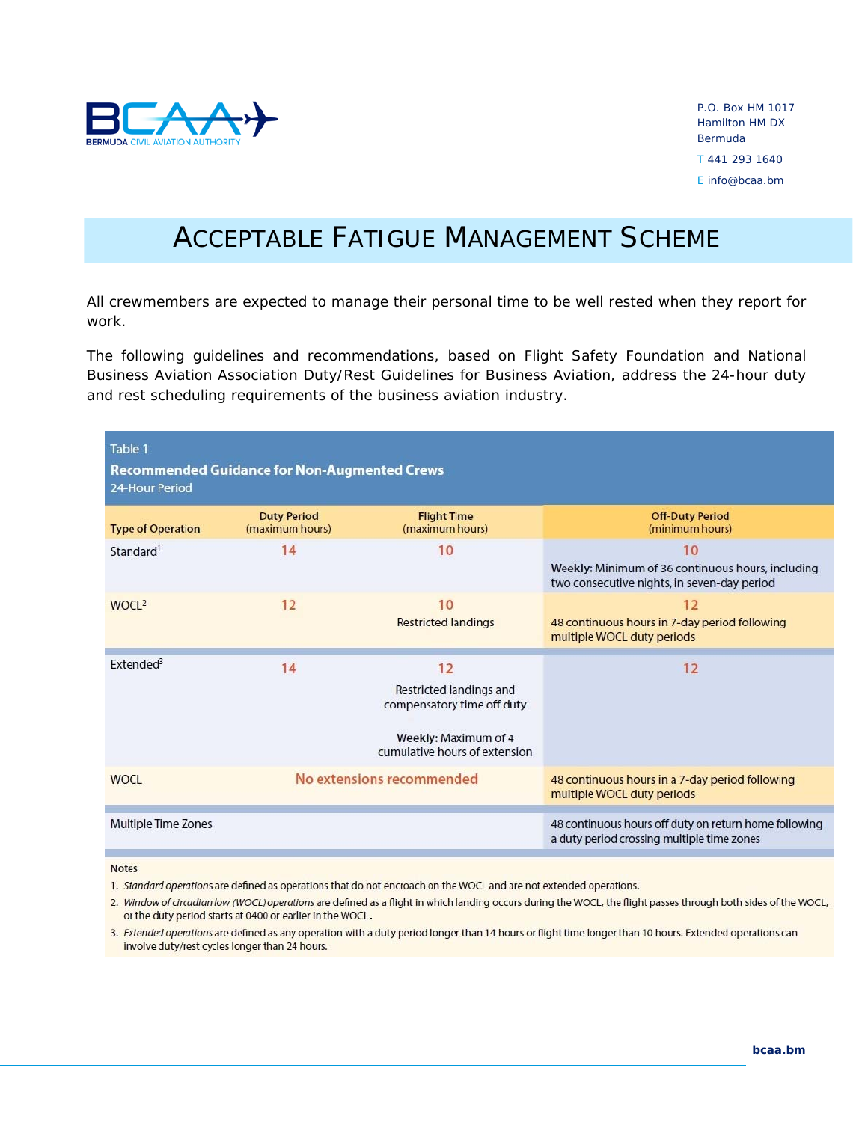

# ACCEPTABLE FATIGUE MANAGEMENT SCHEME

All crewmembers are expected to manage their personal time to be well rested when they report for work.

The following guidelines and recommendations, based on Flight Safety Foundation and National Business Aviation Association *Duty/Rest Guidelines for Business Aviation*, address the 24-hour duty and rest scheduling requirements of the business aviation industry.

| Table 1<br><b>Recommended Guidance for Non-Augmented Crews</b><br>24-Hour Period |                                       |                                                                                                                      |                                                                                                        |  |  |
|----------------------------------------------------------------------------------|---------------------------------------|----------------------------------------------------------------------------------------------------------------------|--------------------------------------------------------------------------------------------------------|--|--|
| <b>Type of Operation</b>                                                         | <b>Duty Period</b><br>(maximum hours) | <b>Flight Time</b><br>(maximum hours)                                                                                | <b>Off-Duty Period</b><br>(minimum hours)                                                              |  |  |
| Standard <sup>1</sup>                                                            | 14                                    | 10                                                                                                                   | 10<br>Weekly: Minimum of 36 continuous hours, including<br>two consecutive nights, in seven-day period |  |  |
| WOCL <sup>2</sup>                                                                | 12                                    | 10<br><b>Restricted landings</b>                                                                                     | 12<br>48 continuous hours in 7-day period following<br>multiple WOCL duty periods                      |  |  |
| Extended <sup>3</sup>                                                            | 14                                    | 12<br>Restricted landings and<br>compensatory time off duty<br>Weekly: Maximum of 4<br>cumulative hours of extension | 12                                                                                                     |  |  |
| <b>WOCL</b>                                                                      | No extensions recommended             |                                                                                                                      | 48 continuous hours in a 7-day period following<br>multiple WOCL duty periods                          |  |  |
| Multiple Time Zones                                                              |                                       |                                                                                                                      | 48 continuous hours off duty on return home following<br>a duty period crossing multiple time zones    |  |  |

**Notes** 

1. Standard operations are defined as operations that do not encroach on the WOCL and are not extended operations.

2. Window of circadian low (WOCL) operations are defined as a flight in which landing occurs during the WOCL, the flight passes through both sides of the WOCL, or the duty period starts at 0400 or earlier in the WOCL.

3. Extended operations are defined as any operation with a duty period longer than 14 hours or flight time longer than 10 hours. Extended operations can involve duty/rest cycles longer than 24 hours.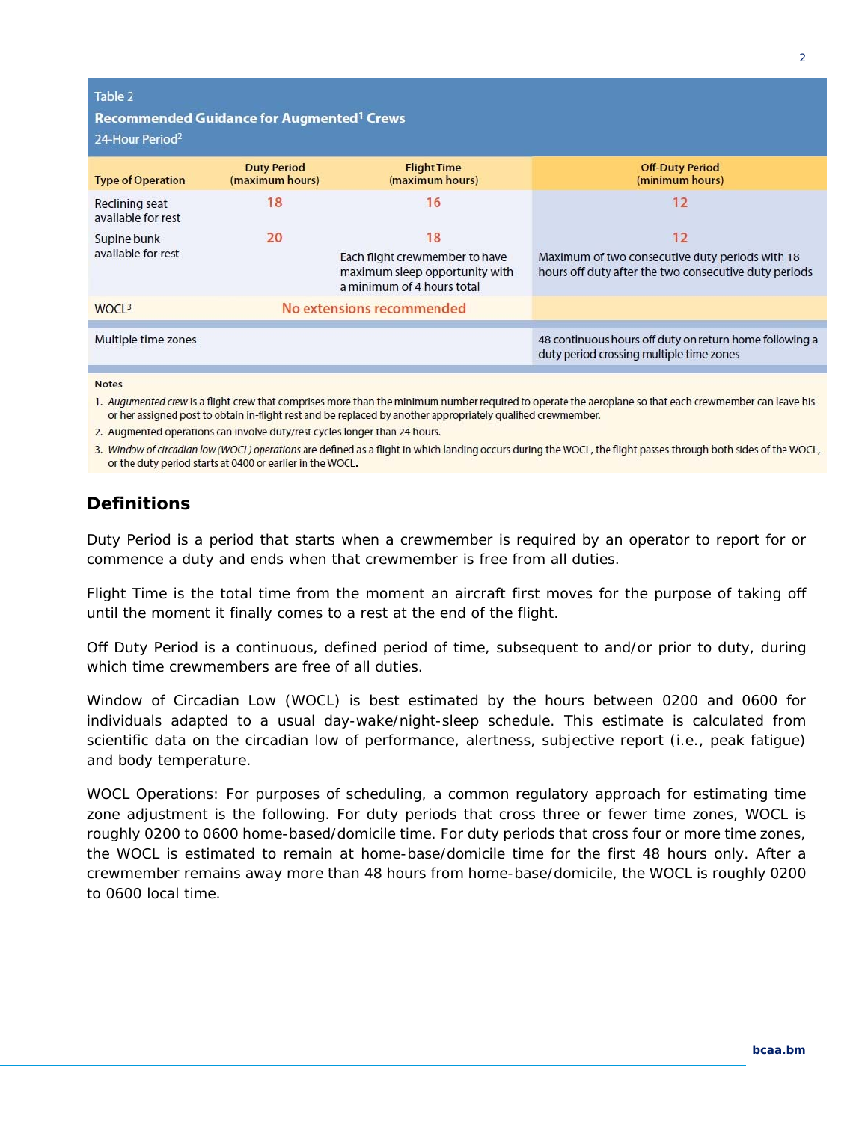| Table 2<br>Recommended Guidance for Augmented <sup>1</sup> Crews<br>24-Hour Period <sup>2</sup> |                                       |                                                                                                      |                                                                                                                |  |  |
|-------------------------------------------------------------------------------------------------|---------------------------------------|------------------------------------------------------------------------------------------------------|----------------------------------------------------------------------------------------------------------------|--|--|
| <b>Type of Operation</b>                                                                        | <b>Duty Period</b><br>(maximum hours) | <b>Flight Time</b><br>(maximum hours)                                                                | <b>Off-Duty Period</b><br>(minimum hours)                                                                      |  |  |
| Reclining seat<br>available for rest                                                            | 18                                    | 16                                                                                                   | 12                                                                                                             |  |  |
| Supine bunk<br>available for rest                                                               | 20                                    | 18<br>Each flight crewmember to have<br>maximum sleep opportunity with<br>a minimum of 4 hours total | 12<br>Maximum of two consecutive duty periods with 18<br>hours off duty after the two consecutive duty periods |  |  |
| WOCL <sup>3</sup>                                                                               | No extensions recommended             |                                                                                                      |                                                                                                                |  |  |
| Multiple time zones                                                                             |                                       |                                                                                                      | 48 continuous hours off duty on return home following a<br>duty period crossing multiple time zones            |  |  |

#### **Notes**

1. Augumented crew is a flight crew that comprises more than the minimum number required to operate the aeroplane so that each crewmember can leave his or her assigned post to obtain in-flight rest and be replaced by another appropriately qualified crewmember.

2. Augmented operations can involve duty/rest cycles longer than 24 hours.

3. Window of circadian low (WOCL) operations are defined as a flight in which landing occurs during the WOCL, the flight passes through both sides of the WOCL, or the duty period starts at 0400 or earlier in the WOCL.

## **Definitions**

*Duty Period* is a period that starts when a crewmember is required by an operator to report for or commence a duty and ends when that crewmember is free from all duties.

*Flight Time* is the total time from the moment an aircraft first moves for the purpose of taking off until the moment it finally comes to a rest at the end of the flight.

*Off Duty Period* is a continuous, defined period of time, subsequent to and/or prior to duty, during which time crewmembers are free of all duties.

*Window of Circadian Low (WOCL)* is best estimated by the hours between 0200 and 0600 for individuals adapted to a usual day-wake/night-sleep schedule. This estimate is calculated from scientific data on the circadian low of performance, alertness, subjective report (i.e., peak fatigue) and body temperature.

*WOCL Operations*: For purposes of scheduling, a common regulatory approach for estimating time zone adjustment is the following. For duty periods that cross three or fewer time zones, WOCL is roughly 0200 to 0600 home-based/domicile time. For duty periods that cross four or more time zones, the WOCL is estimated to remain at home-base/domicile time for the first 48 hours only. After a crewmember remains away more than 48 hours from home-base/domicile, the WOCL is roughly 0200 to 0600 local time.